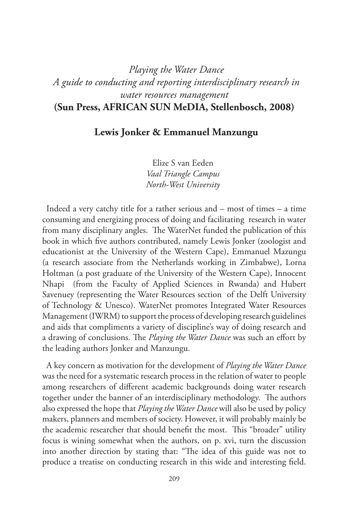## *Playing the Water Dance A guide to conducting and reporting interdisciplinary research in water resources management* **(Sun Press, AFRICAN SUN MeDIA, Stellenbosch, 2008)**

## **Lewis Jonker & Emmanuel Manzungu**

Elize S van Eeden *Vaal Triangle Campus North-West University*

Indeed a very catchy title for a rather serious and – most of times – a time consuming and energizing process of doing and facilitating research in water from many disciplinary angles. The WaterNet funded the publication of this book in which five authors contributed, namely Lewis Jonker (zoologist and educationist at the University of the Western Cape), Emmanuel Mazungu (a research associate from the Netherlands working in Zimbabwe), Lorna Holtman (a post graduate of the University of the Western Cape), Innocent Nhapi (from the Faculty of Applied Sciences in Rwanda) and Hubert Savenuey (representing the Water Resources section of the Delft University of Technology & Unesco). WaterNet promotes Integrated Water Resources Management (IWRM) to support the process of developing research guidelines and aids that compliments a variety of discipline's way of doing research and a drawing of conclusions. The *Playing the Water Dance* was such an effort by the leading authors Jonker and Manzungu.

A key concern as motivation for the development of *Playing the Water Dance* was the need for a systematic research process in the relation of water to people among researchers of different academic backgrounds doing water research together under the banner of an interdisciplinary methodology. The authors also expressed the hope that *Playing the Water Dance* will also be used by policy makers, planners and members of society. However, it will probably mainly be the academic researcher that should benefit the most. This "broader" utility focus is wining somewhat when the authors, on p. xvi, turn the discussion into another direction by stating that: "The idea of this guide was not to produce a treatise on conducting research in this wide and interesting field.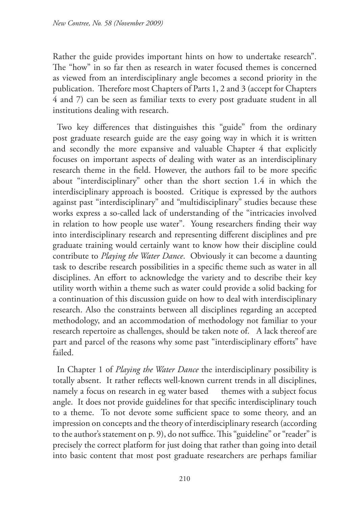Rather the guide provides important hints on how to undertake research". The "how" in so far then as research in water focused themes is concerned as viewed from an interdisciplinary angle becomes a second priority in the publication. Therefore most Chapters of Parts 1, 2 and 3 (accept for Chapters 4 and 7) can be seen as familiar texts to every post graduate student in all institutions dealing with research.

Two key differences that distinguishes this "guide" from the ordinary post graduate research guide are the easy going way in which it is written and secondly the more expansive and valuable Chapter 4 that explicitly focuses on important aspects of dealing with water as an interdisciplinary research theme in the field. However, the authors fail to be more specific about "interdisciplinary" other than the short section 1.4 in which the interdisciplinary approach is boosted. Critique is expressed by the authors against past "interdisciplinary" and "multidisciplinary" studies because these works express a so-called lack of understanding of the "intricacies involved in relation to how people use water". Young researchers finding their way into interdisciplinary research and representing different disciplines and pre graduate training would certainly want to know how their discipline could contribute to *Playing the Water Dance*. Obviously it can become a daunting task to describe research possibilities in a specific theme such as water in all disciplines. An effort to acknowledge the variety and to describe their key utility worth within a theme such as water could provide a solid backing for a continuation of this discussion guide on how to deal with interdisciplinary research. Also the constraints between all disciplines regarding an accepted methodology, and an accommodation of methodology not familiar to your research repertoire as challenges, should be taken note of. A lack thereof are part and parcel of the reasons why some past "interdisciplinary efforts" have failed.

In Chapter 1 of *Playing the Water Dance* the interdisciplinary possibility is totally absent. It rather reflects well-known current trends in all disciplines, namely a focus on research in eg water based themes with a subject focus angle. It does not provide guidelines for that specific interdisciplinary touch to a theme. To not devote some sufficient space to some theory, and an impression on concepts and the theory of interdisciplinary research (according to the author's statement on p. 9), do not suffice. This "guideline" or "reader" is precisely the correct platform for just doing that rather than going into detail into basic content that most post graduate researchers are perhaps familiar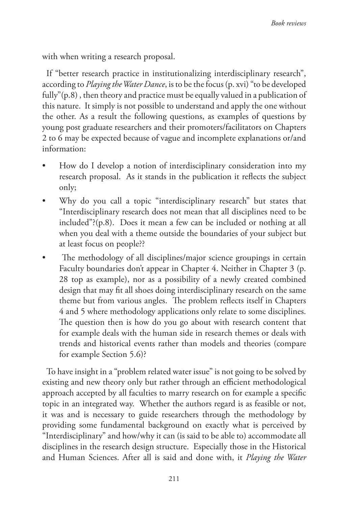with when writing a research proposal.

If "better research practice in institutionalizing interdisciplinary research", according to *Playing the Water Dance*, is to be the focus (p. xvi) "to be developed fully"(p.8) , then theory and practice must be equally valued in a publication of this nature. It simply is not possible to understand and apply the one without the other. As a result the following questions, as examples of questions by young post graduate researchers and their promoters/facilitators on Chapters 2 to 6 may be expected because of vague and incomplete explanations or/and information:

- How do I develop a notion of interdisciplinary consideration into my research proposal. As it stands in the publication it reflects the subject only;
- Why do you call a topic "interdisciplinary research" but states that "Interdisciplinary research does not mean that all disciplines need to be included"?(p.8). Does it mean a few can be included or nothing at all when you deal with a theme outside the boundaries of your subject but at least focus on people??
- The methodology of all disciplines/major science groupings in certain Faculty boundaries don't appear in Chapter 4. Neither in Chapter 3 (p. 28 top as example), nor as a possibility of a newly created combined design that may fit all shoes doing interdisciplinary research on the same theme but from various angles. The problem reflects itself in Chapters 4 and 5 where methodology applications only relate to some disciplines. The question then is how do you go about with research content that for example deals with the human side in research themes or deals with trends and historical events rather than models and theories (compare for example Section 5.6)?

To have insight in a "problem related water issue" is not going to be solved by existing and new theory only but rather through an efficient methodological approach accepted by all faculties to marry research on for example a specific topic in an integrated way. Whether the authors regard is as feasible or not, it was and is necessary to guide researchers through the methodology by providing some fundamental background on exactly what is perceived by "Interdisciplinary" and how/why it can (is said to be able to) accommodate all disciplines in the research design structure. Especially those in the Historical and Human Sciences. After all is said and done with, it *Playing the Water*